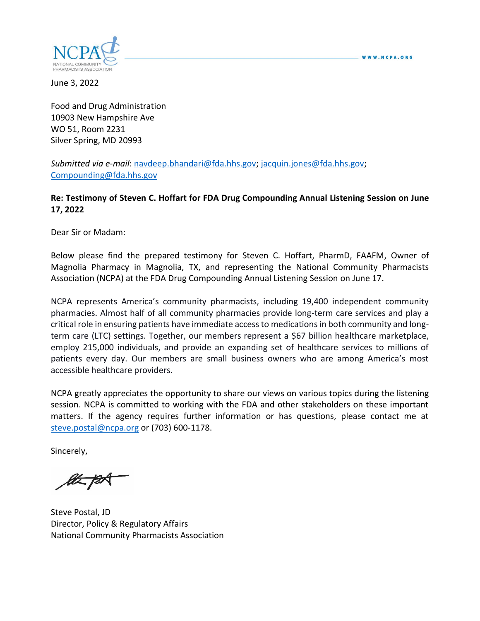

June 3, 2022

Food and Drug Administration 10903 New Hampshire Ave WO 51, Room 2231 Silver Spring, MD 20993

*Submitted via e-mail*: [navdeep.bhandari@fda.hhs.gov;](mailto:navdeep.bhandari@fda.hhs.gov) [jacquin.jones@fda.hhs.gov;](mailto:jacquin.jones@fda.hhs.gov) [Compounding@fda.hhs.gov](mailto:Compounding@fda.hhs.gov)

### **Re: Testimony of Steven C. Hoffart for FDA Drug Compounding Annual Listening Session on June 17, 2022**

Dear Sir or Madam:

Below please find the prepared testimony for Steven C. Hoffart, PharmD, FAAFM, Owner of Magnolia Pharmacy in Magnolia, TX, and representing the National Community Pharmacists Association (NCPA) at the FDA Drug Compounding Annual Listening Session on June 17.

NCPA represents America's community pharmacists, including 19,400 independent community pharmacies. Almost half of all community pharmacies provide long-term care services and play a critical role in ensuring patients have immediate access to medications in both community and longterm care (LTC) settings. Together, our members represent a \$67 billion healthcare marketplace, employ 215,000 individuals, and provide an expanding set of healthcare services to millions of patients every day. Our members are small business owners who are among America's most accessible healthcare providers.

NCPA greatly appreciates the opportunity to share our views on various topics during the listening session. NCPA is committed to working with the FDA and other stakeholders on these important matters. If the agency requires further information or has questions, please contact me at [steve.postal@ncpa.org](mailto:steve.postal@ncpa.org) or (703) 600-1178.

Sincerely,

Steve Postal, JD Director, Policy & Regulatory Affairs National Community Pharmacists Association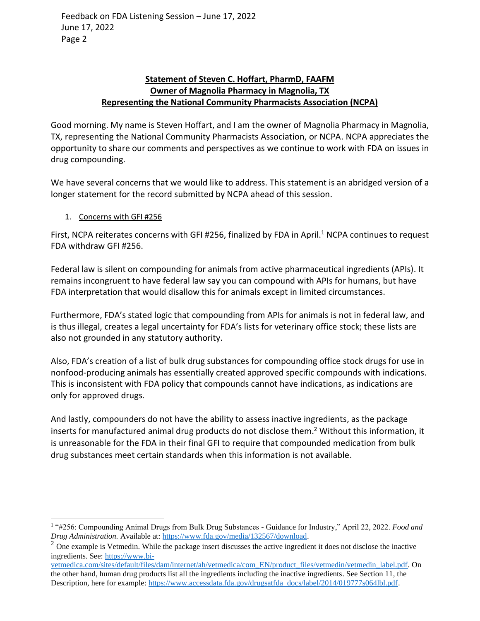Feedback on FDA Listening Session – June 17, 2022 June 17, 2022 Page 2

## **Statement of Steven C. Hoffart, PharmD, FAAFM Owner of Magnolia Pharmacy in Magnolia, TX Representing the National Community Pharmacists Association (NCPA)**

Good morning. My name is Steven Hoffart, and I am the owner of Magnolia Pharmacy in Magnolia, TX, representing the National Community Pharmacists Association, or NCPA. NCPA appreciates the opportunity to share our comments and perspectives as we continue to work with FDA on issues in drug compounding.

We have several concerns that we would like to address. This statement is an abridged version of a longer statement for the record submitted by NCPA ahead of this session.

### 1. Concerns with GFI #256

First, NCPA reiterates concerns with GFI #256, finalized by FDA in April.<sup>1</sup> NCPA continues to request FDA withdraw GFI #256.

Federal law is silent on compounding for animals from active pharmaceutical ingredients (APIs). It remains incongruent to have federal law say you can compound with APIs for humans, but have FDA interpretation that would disallow this for animals except in limited circumstances.

Furthermore, FDA's stated logic that compounding from APIs for animals is not in federal law, and is thus illegal, creates a legal uncertainty for FDA's lists for veterinary office stock; these lists are also not grounded in any statutory authority.

Also, FDA's creation of a list of bulk drug substances for compounding office stock drugs for use in nonfood-producing animals has essentially created approved specific compounds with indications. This is inconsistent with FDA policy that compounds cannot have indications, as indications are only for approved drugs.

And lastly, compounders do not have the ability to assess inactive ingredients, as the package inserts for manufactured animal drug products do not disclose them. <sup>2</sup> Without this information, it is unreasonable for the FDA in their final GFI to require that compounded medication from bulk drug substances meet certain standards when this information is not available.

<sup>&</sup>lt;sup>1</sup> "#256: Compounding Animal Drugs from Bulk Drug Substances - Guidance for Industry," April 22, 2022. *Food and Drug Administration.* Available at: [https://www.fda.gov/media/132567/download.](https://www.fda.gov/media/132567/download)

 $2$  One example is Vetmedin. While the package insert discusses the active ingredient it does not disclose the inactive ingredients. See: [https://www.bi-](https://nam10.safelinks.protection.outlook.com/?url=https%3A%2F%2Fwww.bi-vetmedica.com%2Fsites%2Fdefault%2Ffiles%2Fdam%2Finternet%2Fah%2Fvetmedica%2Fcom_EN%2Fproduct_files%2Fvetmedin%2Fvetmedin_label.pdf&data=05%7C01%7Csteve.postal%40ncpa.org%7C7fe7391822ab491ea0a408da458c500d%7Cb77cba5b4b54454ab17c067a46f21ebb%7C0%7C0%7C637898766522126548%7CUnknown%7CTWFpbGZsb3d8eyJWIjoiMC4wLjAwMDAiLCJQIjoiV2luMzIiLCJBTiI6Ik1haWwiLCJXVCI6Mn0%3D%7C3000%7C%7C%7C&sdata=wm0bVnrEfT0C1CwUEjWu6TIlk5BUcEkS3l0p1k2DVgs%3D&reserved=0)

[vetmedica.com/sites/default/files/dam/internet/ah/vetmedica/com\\_EN/product\\_files/vetmedin/vetmedin\\_label.pdf.](https://nam10.safelinks.protection.outlook.com/?url=https%3A%2F%2Fwww.bi-vetmedica.com%2Fsites%2Fdefault%2Ffiles%2Fdam%2Finternet%2Fah%2Fvetmedica%2Fcom_EN%2Fproduct_files%2Fvetmedin%2Fvetmedin_label.pdf&data=05%7C01%7Csteve.postal%40ncpa.org%7C7fe7391822ab491ea0a408da458c500d%7Cb77cba5b4b54454ab17c067a46f21ebb%7C0%7C0%7C637898766522126548%7CUnknown%7CTWFpbGZsb3d8eyJWIjoiMC4wLjAwMDAiLCJQIjoiV2luMzIiLCJBTiI6Ik1haWwiLCJXVCI6Mn0%3D%7C3000%7C%7C%7C&sdata=wm0bVnrEfT0C1CwUEjWu6TIlk5BUcEkS3l0p1k2DVgs%3D&reserved=0) On the other hand, human drug products list all the ingredients including the inactive ingredients. See Section 11, the Description, here for example: [https://www.accessdata.fda.gov/drugsatfda\\_docs/label/2014/019777s064lbl.pdf.](https://nam10.safelinks.protection.outlook.com/?url=https%3A%2F%2Fwww.accessdata.fda.gov%2Fdrugsatfda_docs%2Flabel%2F2014%2F019777s064lbl.pdf&data=05%7C01%7Csteve.postal%40ncpa.org%7C7fe7391822ab491ea0a408da458c500d%7Cb77cba5b4b54454ab17c067a46f21ebb%7C0%7C0%7C637898766522126548%7CUnknown%7CTWFpbGZsb3d8eyJWIjoiMC4wLjAwMDAiLCJQIjoiV2luMzIiLCJBTiI6Ik1haWwiLCJXVCI6Mn0%3D%7C3000%7C%7C%7C&sdata=zYG9WeSgft3HWhUViqBpNJ2OzBsU2gxMttXiCAZIXRI%3D&reserved=0)